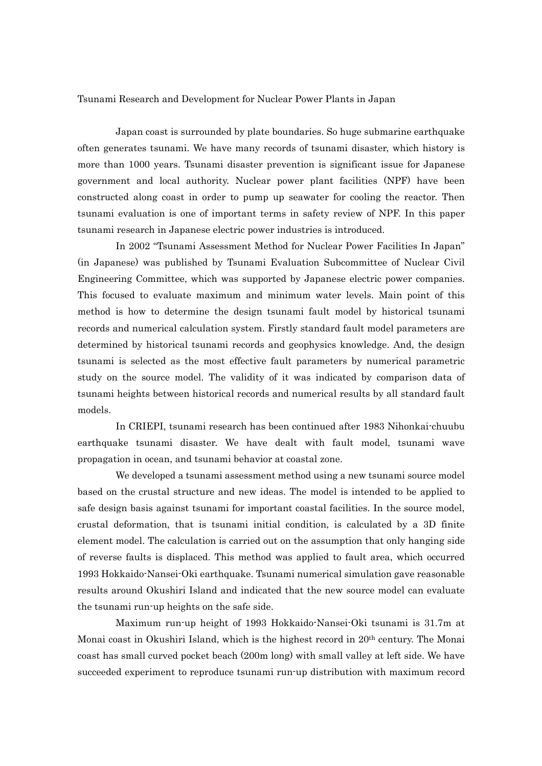## Tsunami Research and Development for Nuclear Power Plants in Japan

Japan coast is surrounded by plate boundaries. So huge submarine earthquake often generates tsunami. We have many records of tsunami disaster, which history is more than 1000 years. Tsunami disaster prevention is significant issue for Japanese government and local authority. Nuclear power plant facilities (NPF) have been constructed along coast in order to pump up seawater for cooling the reactor. Then tsunami evaluation is one of important terms in safety review of NPF. In this paper tsunami research in Japanese electric power industries is introduced.

In 2002 "Tsunami Assessment Method for Nuclear Power Facilities In Japan" (in Japanese) was published by Tsunami Evaluation Subcommittee of Nuclear Civil Engineering Committee, which was supported by Japanese electric power companies. This focused to evaluate maximum and minimum water levels. Main point of this method is how to determine the design tsunami fault model by historical tsunami records and numerical calculation system. Firstly standard fault model parameters are determined by historical tsunami records and geophysics knowledge. And, the design tsunami is selected as the most effective fault parameters by numerical parametric study on the source model. The validity of it was indicated by comparison data of tsunami heights between historical records and numerical results by all standard fault models.

 In CRIEPI, tsunami research has been continued after 1983 Nihonkai-chuubu earthquake tsunami disaster. We have dealt with fault model, tsunami wave propagation in ocean, and tsunami behavior at coastal zone.

We developed a tsunami assessment method using a new tsunami source model based on the crustal structure and new ideas. The model is intended to be applied to safe design basis against tsunami for important coastal facilities. In the source model, crustal deformation, that is tsunami initial condition, is calculated by a 3D finite element model. The calculation is carried out on the assumption that only hanging side of reverse faults is displaced. This method was applied to fault area, which occurred 1993 Hokkaido-Nansei-Oki earthquake. Tsunami numerical simulation gave reasonable results around Okushiri Island and indicated that the new source model can evaluate the tsunami run-up heights on the safe side.

Maximum run-up height of 1993 Hokkaido-Nansei-Oki tsunami is 31.7m at Monai coast in Okushiri Island, which is the highest record in 20th century. The Monai coast has small curved pocket beach (200m long) with small valley at left side. We have succeeded experiment to reproduce tsunami run-up distribution with maximum record